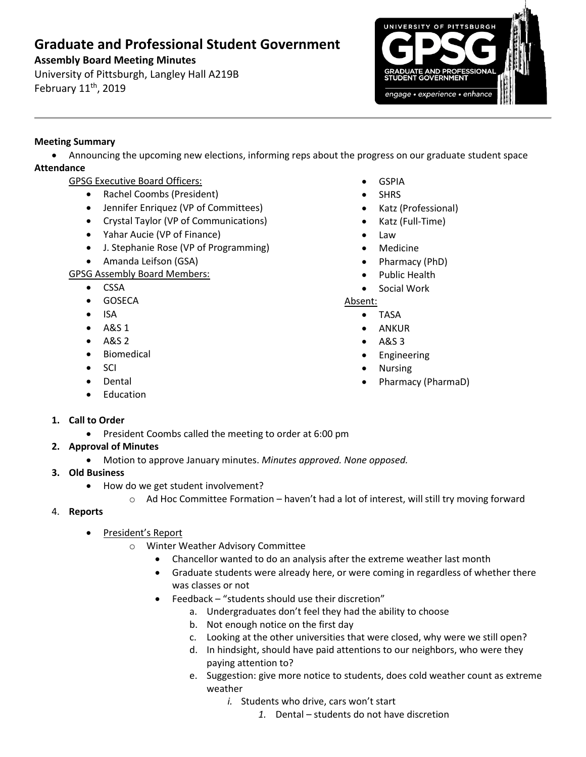# **Graduate and Professional Student Government**

## **Assembly Board Meeting Minutes**

University of Pittsburgh, Langley Hall A219B February 11<sup>th</sup>, 2019



## **Meeting Summary**

 Announcing the upcoming new elections, informing reps about the progress on our graduate student space **Attendance**

- GPSG Executive Board Officers:
	- Rachel Coombs (President)
	- Jennifer Enriquez (VP of Committees)
	- Crystal Taylor (VP of Communications)
	- Yahar Aucie (VP of Finance)
	- J. Stephanie Rose (VP of Programming)
	- Amanda Leifson (GSA)

GPSG Assembly Board Members:

- CSSA
- **•** GOSECA
- $\bullet$  ISA
- $-$  A&S 1
- A&S 2
- **•** Biomedical
- $\bullet$  SCI
- Dental
- Education
- GSPIA
- SHRS
- Katz (Professional)
- Katz (Full-Time)
- Law
- Medicine
- Pharmacy (PhD)
- Public Health
- Social Work

### Absent:

- TASA
- ANKUR
- A&S 3
- **•** Engineering
- Nursing
- Pharmacy (PharmaD)

- **1. Call to Order**
	- President Coombs called the meeting to order at 6:00 pm
- **2. Approval of Minutes** 
	- Motion to approve January minutes. *Minutes approved. None opposed.*
- **3. Old Business**
	- How do we get student involvement?
		- o Ad Hoc Committee Formation haven't had a lot of interest, will still try moving forward
- 4. **Reports** 
	- President's Report
		- o Winter Weather Advisory Committee
			- Chancellor wanted to do an analysis after the extreme weather last month
			- Graduate students were already here, or were coming in regardless of whether there was classes or not
			- Feedback "students should use their discretion"
				- a. Undergraduates don't feel they had the ability to choose
				- b. Not enough notice on the first day
				- c. Looking at the other universities that were closed, why were we still open?
				- d. In hindsight, should have paid attentions to our neighbors, who were they paying attention to?
				- e. Suggestion: give more notice to students, does cold weather count as extreme weather
					- *i.* Students who drive, cars won't start
						- *1.* Dental students do not have discretion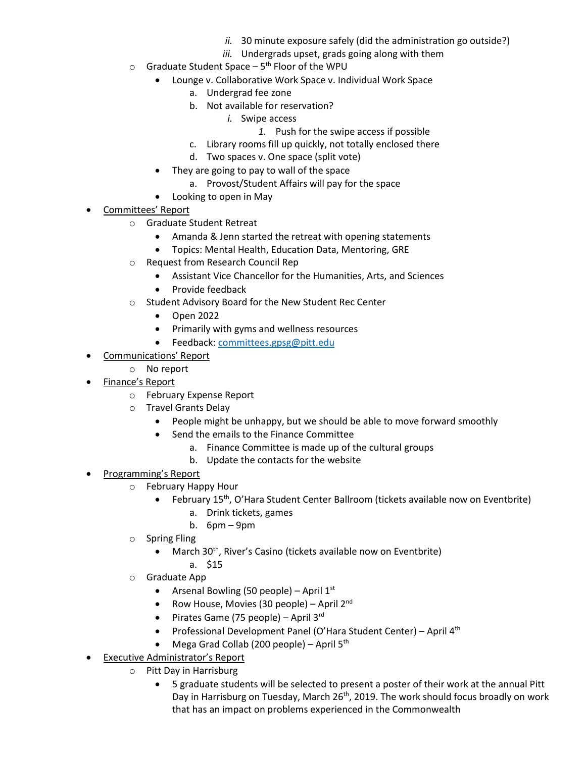- *ii.* 30 minute exposure safely (did the administration go outside?)
- *iii.* Undergrads upset, grads going along with them
- $\circ$  Graduate Student Space 5<sup>th</sup> Floor of the WPU
	- Lounge v. Collaborative Work Space v. Individual Work Space
		- a. Undergrad fee zone
		- b. Not available for reservation?
			- *i.* Swipe access
				- *1.* Push for the swipe access if possible
		- c. Library rooms fill up quickly, not totally enclosed there
		- d. Two spaces v. One space (split vote)
	- They are going to pay to wall of the space
		- a. Provost/Student Affairs will pay for the space
	- Looking to open in May
- Committees' Report
	- o Graduate Student Retreat
		- Amanda & Jenn started the retreat with opening statements
		- Topics: Mental Health, Education Data, Mentoring, GRE
	- o Request from Research Council Rep
		- Assistant Vice Chancellor for the Humanities, Arts, and Sciences
		- Provide feedback
	- o Student Advisory Board for the New Student Rec Center
		- Open 2022
		- Primarily with gyms and wellness resources
		- Feedback: [committees.gpsg@pitt.edu](mailto:committees.gpsg@pitt.edu)
- Communications' Report
	- o No report
- Finance's Report
	- o February Expense Report
	- o Travel Grants Delay
		- People might be unhappy, but we should be able to move forward smoothly
		- Send the emails to the Finance Committee
			- a. Finance Committee is made up of the cultural groups
			- b. Update the contacts for the website
- Programming's Report
	- o February Happy Hour
		- February 15<sup>th</sup>, O'Hara Student Center Ballroom (tickets available now on Eventbrite)
			- a. Drink tickets, games
			- b. 6pm 9pm
	- o Spring Fling
		- March 30<sup>th</sup>, River's Casino (tickets available now on Eventbrite)
		- a. \$15
	- Graduate App
		- Arsenal Bowling (50 people) April  $1<sup>st</sup>$
		- Row House, Movies (30 people) April  $2^{nd}$
		- Pirates Game (75 people) April  $3^{rd}$
		- Professional Development Panel (O'Hara Student Center) April  $4<sup>th</sup>$
		- Mega Grad Collab (200 people) April 5th
- Executive Administrator's Report
	- o Pitt Day in Harrisburg
		- 5 graduate students will be selected to present a poster of their work at the annual Pitt Day in Harrisburg on Tuesday, March 26<sup>th</sup>, 2019. The work should focus broadly on work that has an impact on problems experienced in the Commonwealth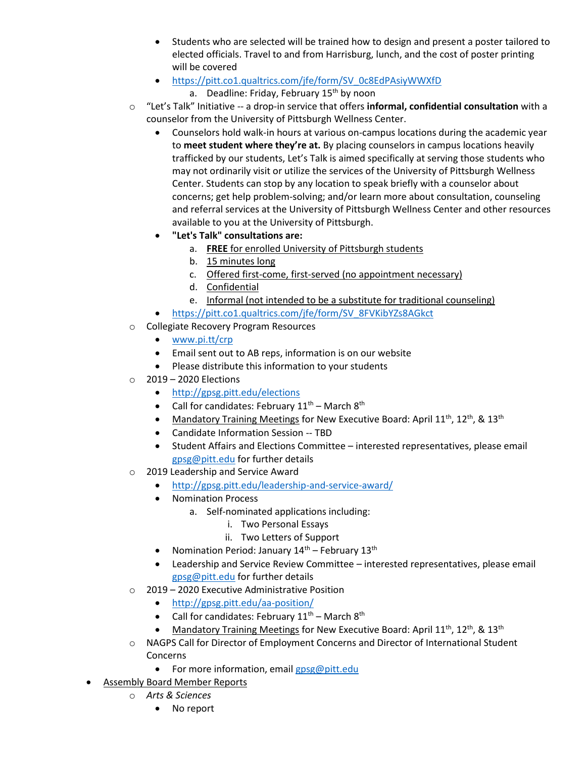- Students who are selected will be trained how to design and present a poster tailored to elected officials. Travel to and from Harrisburg, lunch, and the cost of poster printing will be covered
- [https://pitt.co1.qualtrics.com/jfe/form/SV\\_0c8EdPAsiyWWXfD](https://na01.safelinks.protection.outlook.com/?url=https%3A%2F%2Fpitt.co1.qualtrics.com%2Fjfe%2Fform%2FSV_0c8EdPAsiyWWXfD&data=02%7C01%7Cgpsg%40pitt.edu%7C605fafd5c4db4937e68608d68d007c8f%7C9ef9f489e0a04eeb87cc3a526112fd0d%7C1%7C0%7C636851430578473705&sdata=cBz%2Bz%2BukfpXzFwlY39pOrce2KoijTuWU8jl1YJbTGVo%3D&reserved=0)
	- a. Deadline: Friday, February 15<sup>th</sup> by noon
- o "Let's Talk" Initiative -- a drop-in service that offers **informal, confidential consultation** with a counselor from the University of Pittsburgh Wellness Center.
	- Counselors hold walk-in hours at various on-campus locations during the academic year to **meet student where they're at.** By placing counselors in campus locations heavily trafficked by our students, Let's Talk is aimed specifically at serving those students who may not ordinarily visit or utilize the services of the University of Pittsburgh Wellness Center. Students can stop by any location to speak briefly with a counselor about concerns; get help problem-solving; and/or learn more about consultation, counseling and referral services at the University of Pittsburgh Wellness Center and other resources available to you at the University of Pittsburgh.
	- **"Let's Talk" consultations are:**
		- a. **FREE** for enrolled University of Pittsburgh students
		- b. 15 minutes long
		- c. Offered first-come, first-served (no appointment necessary)
		- d. Confidential
		- e. Informal (not intended to be a substitute for traditional counseling)
	- [https://pitt.co1.qualtrics.com/jfe/form/SV\\_8FVKibYZs8AGkct](https://na01.safelinks.protection.outlook.com/?url=https%3A%2F%2Fpitt.co1.qualtrics.com%2Fjfe%2Fform%2FSV_8FVKibYZs8AGkct&data=02%7C01%7Cgpsg%40pitt.edu%7C8fc34f85edad4e54943808d686ec98d7%7C9ef9f489e0a04eeb87cc3a526112fd0d%7C1%7C0%7C636844748067808583&sdata=KFt4wG8ttqIW6ucNC3aSrR1cWMRUhmcAN%2FiV5yQhjdA%3D&reserved=0)
- o Collegiate Recovery Program Resources
	- [www.pi.tt/crp](http://www.pi.tt/crp)
	- Email sent out to AB reps, information is on our website
	- Please distribute this information to your students
- $\circ$  2019 2020 Elections
	- <http://gpsg.pitt.edu/elections>
	- Call for candidates: February  $11<sup>th</sup>$  March  $8<sup>th</sup>$
	- Mandatory Training Meetings for New Executive Board: April 11<sup>th</sup>, 12<sup>th</sup>, & 13<sup>th</sup>
	- Candidate Information Session -- TBD
	- Student Affairs and Elections Committee interested representatives, please email [gpsg@pitt.edu](mailto:gpsg@pitt.edu) for further details
- o 2019 Leadership and Service Award
	- <http://gpsg.pitt.edu/leadership-and-service-award/>
	- Nomination Process
		- a. Self-nominated applications including:
			- i. Two Personal Essays
			- ii. Two Letters of Support
	- Nomination Period: January  $14<sup>th</sup>$  February  $13<sup>th</sup>$
	- Leadership and Service Review Committee interested representatives, please email [gpsg@pitt.edu](mailto:gpsg@pitt.edu) for further details
- o 2019 2020 Executive Administrative Position
	- <http://gpsg.pitt.edu/aa-position/>
	- Call for candidates: February  $11<sup>th</sup>$  March  $8<sup>th</sup>$
	- Mandatory Training Meetings for New Executive Board: April  $11^{th}$ ,  $12^{th}$ , &  $13^{th}$
- o NAGPS Call for Director of Employment Concerns and Director of International Student Concerns
	- For more information, email [gpsg@pitt.edu](mailto:gpsg@pitt.edu)
- Assembly Board Member Reports
	- o *Arts & Sciences*
		- No report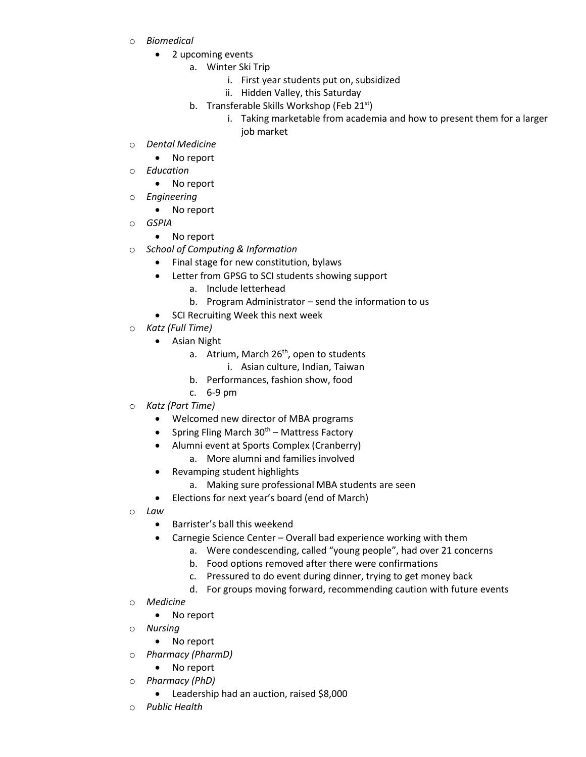- o *Biomedical*
	- 2 upcoming events
		- a. Winter Ski Trip
			- i. First year students put on, subsidized
			- ii. Hidden Valley, this Saturday
		- b. Transferable Skills Workshop (Feb 21<sup>st</sup>)
			- i. Taking marketable from academia and how to present them for a larger job market
- o *Dental Medicine*
	- No report
- o *Education*
	- No report
- o *Engineering*
	- No report
- o *GSPIA*
	- No report
	- **School of Computing & Information** 
		- Final stage for new constitution, bylaws
		- Letter from GPSG to SCI students showing support
			- a. Include letterhead
			- b. Program Administrator send the information to us
		- SCI Recruiting Week this next week
- o *Katz (Full Time)*
	- Asian Night
		- a. Atrium, March 26<sup>th</sup>, open to students
			- i. Asian culture, Indian, Taiwan
		- b. Performances, fashion show, food
		- c. 6-9 pm
- o *Katz (Part Time)*
	- Welcomed new director of MBA programs
	- Spring Fling March  $30<sup>th</sup>$  Mattress Factory
	- Alumni event at Sports Complex (Cranberry)
		- a. More alumni and families involved
	- Revamping student highlights
		- a. Making sure professional MBA students are seen
	- Elections for next year's board (end of March)
- o *Law*
	- Barrister's ball this weekend
	- Carnegie Science Center Overall bad experience working with them
		- a. Were condescending, called "young people", had over 21 concerns
		- b. Food options removed after there were confirmations
		- c. Pressured to do event during dinner, trying to get money back
		- d. For groups moving forward, recommending caution with future events
- o *Medicine*
	- No report
- o *Nursing* 
	- No report
- o *Pharmacy (PharmD)*
	- No report
- o *Pharmacy (PhD)*
	- Leadership had an auction, raised \$8,000
- o *Public Health*